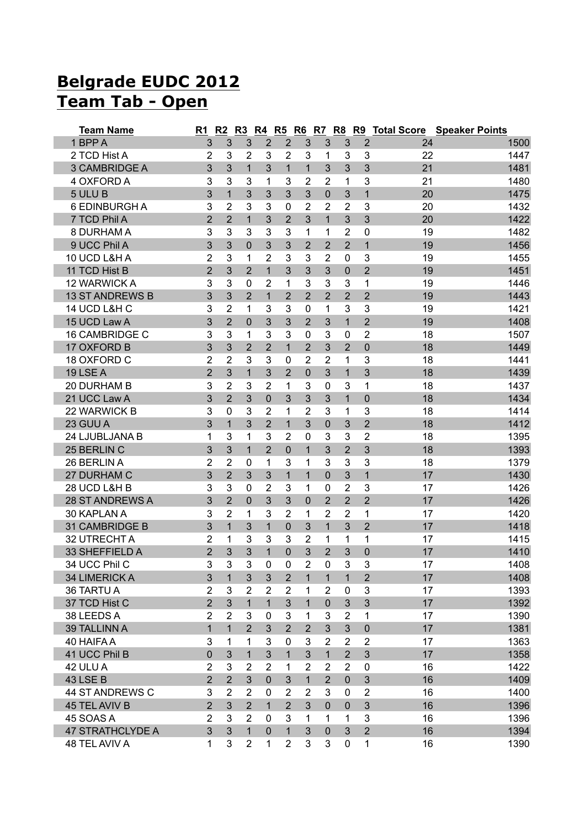## **Belgrade EUDC 2012 Team Tab - Open**

| <b>Team Name</b>        | R <sub>1</sub> | R <sub>2</sub> | R3             |                |                |                |                |                |                |    | R4 R5 R6 R7 R8 R9 Total Score Speaker Points |
|-------------------------|----------------|----------------|----------------|----------------|----------------|----------------|----------------|----------------|----------------|----|----------------------------------------------|
| 1 BPP A                 | 3              | 3              | 3              | $\overline{2}$ | $\overline{2}$ | 3              | 3              | 3              | $\overline{2}$ | 24 | 1500                                         |
| 2 TCD Hist A            | $\overline{2}$ | 3              | $\overline{2}$ | 3              | 2              | 3              | 1              | 3              | 3              | 22 | 1447                                         |
| 3 CAMBRIDGE A           | $\overline{3}$ | 3              | $\mathbf{1}$   | 3              | $\mathbf{1}$   | $\mathbf{1}$   | 3              | 3              | $\overline{3}$ | 21 | 1481                                         |
| 4 OXFORD A              | 3              | 3              | 3              | 1              | 3              | $\overline{2}$ | 2              | 1              | 3              | 21 | 1480                                         |
| 5 ULU B                 | 3              | $\mathbf{1}$   | 3              | 3              | 3              | 3              | $\overline{0}$ | 3              | $\mathbf{1}$   | 20 | 1475                                         |
| <b>6 EDINBURGH A</b>    | 3              | $\overline{2}$ | 3              | 3              | 0              | $\overline{2}$ | 2              | 2              | 3              | 20 | 1432                                         |
| 7 TCD Phil A            | $\overline{2}$ | $\overline{2}$ | 1              | 3              | $\overline{2}$ | 3              | $\mathbf{1}$   | 3              | 3              | 20 | 1422                                         |
| 8 DURHAM A              | 3              | 3              | 3              | 3              | 3              | 1              | 1              | $\overline{2}$ | $\mathbf 0$    | 19 | 1482                                         |
| 9 UCC Phil A            | 3              | 3              | $\mathbf 0$    | 3              | 3              | $\overline{2}$ | $\overline{2}$ | $\overline{2}$ | $\overline{1}$ | 19 | 1456                                         |
| 10 UCD L&H A            | $\overline{2}$ | 3              | 1              | 2              | 3              | 3              | 2              | 0              | 3              | 19 | 1455                                         |
| 11 TCD Hist B           | $\overline{2}$ | 3              | $\overline{2}$ | 1              | 3              | 3              | 3              | $\mathbf 0$    | $\overline{2}$ | 19 | 1451                                         |
| 12 WARWICK A            | 3              | 3              | $\mathbf 0$    | $\overline{2}$ | 1              | 3              | 3              | 3              | 1              | 19 | 1446                                         |
| <b>13 ST ANDREWS B</b>  | 3              | 3              | $\overline{2}$ | 1              | $\overline{2}$ | $\overline{2}$ | $\overline{2}$ | $\overline{2}$ | $\overline{2}$ | 19 | 1443                                         |
| 14 UCD L&H C            | 3              | $\overline{2}$ | 1              | 3              | 3              | $\mathbf 0$    | 1              | 3              | 3              | 19 | 1421                                         |
| 15 UCD Law A            | 3              | $\overline{2}$ | $\mathbf{0}$   | 3              | 3              | $\overline{2}$ | 3              | $\mathbf{1}$   | $\overline{2}$ | 19 | 1408                                         |
| <b>16 CAMBRIDGE C</b>   | 3              | 3              | 1              | 3              | 3              | $\mathbf 0$    | 3              | 0              | $\overline{2}$ | 18 | 1507                                         |
| 17 OXFORD B             | 3              | 3              | $\overline{2}$ | $\overline{2}$ | $\mathbf{1}$   | $\overline{2}$ | 3              | $\overline{2}$ | 0              | 18 | 1449                                         |
| 18 OXFORD C             | $\overline{2}$ | $\overline{2}$ | 3              | 3              | 0              | $\overline{2}$ | 2              | 1              | 3              | 18 | 1441                                         |
| 19 LSE A                | $\overline{2}$ | 3              | 1              | 3              | $\overline{2}$ | $\mathbf 0$    | 3              | $\mathbf{1}$   | 3              | 18 | 1439                                         |
| 20 DURHAM B             | 3              | $\overline{2}$ | 3              | $\overline{2}$ | 1              | 3              | $\mathbf 0$    | 3              | 1              | 18 | 1437                                         |
| 21 UCC Law A            | 3              | $\overline{2}$ | 3              | $\overline{0}$ | 3              | 3              | 3              | $\overline{1}$ | $\overline{0}$ | 18 | 1434                                         |
| 22 WARWICK B            | 3              | 0              | 3              | 2              | 1              | 2              | 3              | 1              | 3              | 18 | 1414                                         |
| 23 GUU A                | 3              | $\mathbf{1}$   | 3              | $\overline{2}$ | $\mathbf{1}$   | 3              | $\overline{0}$ | 3              | $\overline{2}$ | 18 | 1412                                         |
| 24 LJUBLJANA B          | 1              | 3              | 1              | 3              | $\overline{2}$ | $\mathbf 0$    | 3              | 3              | $\overline{2}$ | 18 | 1395                                         |
| 25 BERLIN C             | 3              | 3              | $\mathbf{1}$   | $\overline{2}$ | $\overline{0}$ | $\mathbf{1}$   | 3              | $\overline{2}$ | 3              | 18 | 1393                                         |
| 26 BERLIN A             | $\overline{2}$ | $\overline{2}$ | $\mathbf 0$    | 1              | 3              | 1              | 3              | 3              | 3              | 18 | 1379                                         |
| 27 DURHAM C             | 3              | $\overline{2}$ | 3              | 3              | $\mathbf{1}$   | $\mathbf{1}$   | $\overline{0}$ | 3              | $\overline{1}$ | 17 | 1430                                         |
| 28 UCD L&H B            | 3              | 3              | $\mathbf 0$    | 2              | 3              | 1              | $\Omega$       | $\overline{2}$ | 3              | 17 | 1426                                         |
| 28 ST ANDREWS A         | 3              | $\overline{2}$ | $\overline{0}$ | 3              | 3              | $\overline{0}$ | $\overline{2}$ | $\overline{2}$ | $\overline{2}$ | 17 | 1426                                         |
| 30 KAPLAN A             | 3              | 2              | 1              | 3              | $\overline{2}$ | 1              | 2              | $\overline{2}$ | 1              | 17 | 1420                                         |
| 31 CAMBRIDGE B          | 3              | $\overline{1}$ | 3              | $\mathbf 1$    | $\mathbf 0$    | 3              | $\mathbf{1}$   | 3              | $\overline{2}$ | 17 | 1418                                         |
| 32 UTRECHT A            | $\overline{2}$ | 1              | 3              | 3              | 3              | $\overline{2}$ | 1              | 1              | 1              | 17 | 1415                                         |
| 33 SHEFFIELD A          | $\overline{2}$ | 3              | 3              | $\overline{1}$ | $\mathbf 0$    | 3              | $\overline{2}$ | 3              | $\mathbf 0$    | 17 | 1410                                         |
| 34 UCC Phil C           | 3              | 3              | 3              | 0              | 0              | $\overline{c}$ | $\pmb{0}$      | 3              | 3              | 17 | 1408                                         |
| 34 LIMERICK A           | 3              | $\mathbf{1}$   | 3              | 3              | $\overline{2}$ | $\mathbf{1}$   | $\mathbf{1}$   | $\mathbf{1}$   | $\overline{2}$ | 17 | 1408                                         |
| 36 TARTU A              | 2              | 3              | $\overline{2}$ | 2              | 2              | 1              | 2              | $\pmb{0}$      | 3              | 17 | 1393                                         |
| 37 TCD Hist C           | $\overline{2}$ | $\mathfrak{S}$ | $\mathbf{1}$   | 1              | 3              | $\mathbf{1}$   | $\mathbf 0$    | 3              | 3              | 17 | 1392                                         |
| 38 LEEDS A              | $\overline{2}$ | $\overline{2}$ | 3              | 0              | 3              | 1              | 3              | $\overline{2}$ | 1              | 17 | 1390                                         |
| 39 TALLINN A            | $\mathbf{1}$   | $\mathbf{1}$   | $\overline{2}$ | 3              | $\overline{2}$ | $\overline{2}$ | 3              | 3              | $\pmb{0}$      | 17 | 1381                                         |
| 40 HAIFA A              | 3              | 1              | 1              | 3              | $\mathbf 0$    | 3              | $\overline{2}$ | $\overline{2}$ | $\overline{2}$ | 17 | 1363                                         |
| 41 UCC Phil B           | $\mathsf 0$    | 3              | $\mathbf{1}$   | 3              | $\mathbf{1}$   | 3              | $\overline{1}$ | $\overline{2}$ | 3              | 17 | 1358                                         |
| 42 ULU A                | 2              | 3              | $\overline{2}$ | $\overline{2}$ | 1              | $\overline{2}$ | 2              | $\overline{2}$ | 0              | 16 | 1422                                         |
| <b>43 LSE B</b>         | $\overline{2}$ | $\overline{2}$ | $\mathfrak{S}$ | 0              | 3              | $\mathbf{1}$   | $\overline{2}$ | $\pmb{0}$      | $\mathfrak{S}$ | 16 | 1409                                         |
| 44 ST ANDREWS C         | 3              | 2              | $\overline{2}$ | 0              | 2              | 2              | 3              | 0              | $\overline{2}$ | 16 | 1400                                         |
| 45 TEL AVIV B           | $\overline{2}$ | 3              | $\overline{2}$ | 1              | $\overline{2}$ | 3              | $\mathbf{0}$   | $\mathbf 0$    | 3              | 16 | 1396                                         |
| 45 SOAS A               | $\overline{2}$ | 3              | $\overline{2}$ | 0              | 3              | $\mathbf{1}$   | 1              | 1              | 3              | 16 | 1396                                         |
| <b>47 STRATHCLYDE A</b> | 3              | 3              | $\mathbf{1}$   | $\overline{0}$ | $\mathbf{1}$   | 3              | $\mathbf{0}$   | 3              | $\overline{2}$ | 16 | 1394                                         |
| 48 TEL AVIV A           | 1              | 3              | $\overline{2}$ | 1              | $\overline{2}$ | 3              | 3              | 0              | $\mathbf{1}$   | 16 | 1390                                         |
|                         |                |                |                |                |                |                |                |                |                |    |                                              |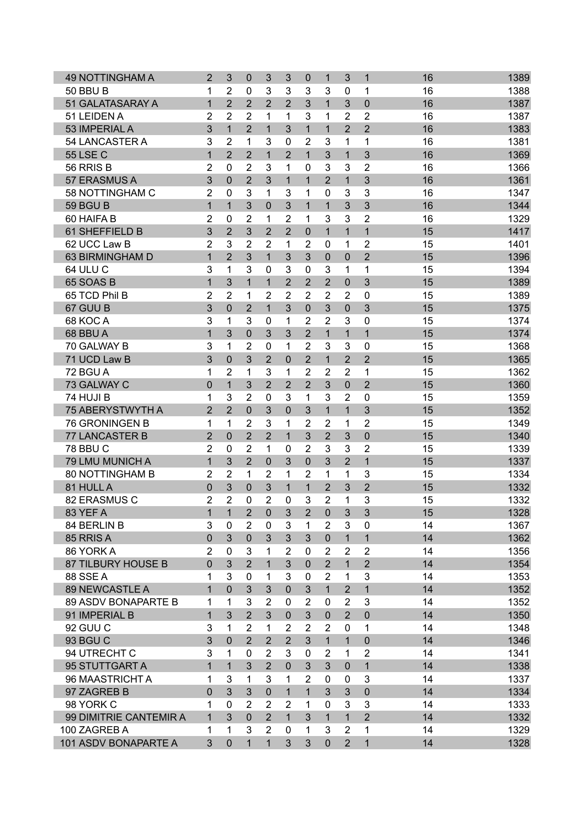| <b>49 NOTTINGHAM A</b>     | $\overline{2}$      | 3              | $\mathbf 0$    | 3              | 3              | 0              | 1              | 3              | $\mathbf{1}$   | 16 | 1389 |
|----------------------------|---------------------|----------------|----------------|----------------|----------------|----------------|----------------|----------------|----------------|----|------|
| <b>50 BBU B</b>            | 1                   | $\overline{2}$ | 0              | 3              | 3              | 3              | 3              | $\mathbf 0$    | 1              | 16 | 1388 |
| 51 GALATASARAY A           | $\mathbf 1$         | $\overline{2}$ | $\overline{2}$ | $\overline{2}$ | $\overline{2}$ | 3              | $\mathbf{1}$   | 3              | 0              | 16 | 1387 |
| 51 LEIDEN A                | 2                   | $\overline{2}$ | $\overline{2}$ | 1              | 1              | 3              | 1              | 2              | $\overline{2}$ | 16 | 1387 |
| 53 IMPERIAL A              | 3                   | $\overline{1}$ | $\overline{2}$ | $\mathbf{1}$   | 3              | $\overline{1}$ | $\mathbf{1}$   | $\overline{2}$ | $\overline{2}$ | 16 | 1383 |
| 54 LANCASTER A             | 3                   | $\overline{2}$ | 1              | 3              | $\mathbf{0}$   | $\overline{2}$ | 3              | 1              | 1              | 16 | 1381 |
| <b>55 LSE C</b>            | $\mathbf{1}$        | $\overline{2}$ | $\overline{2}$ | 1              | $\overline{2}$ | 1              | 3              | $\mathbf{1}$   | 3              | 16 | 1369 |
| 56 RRIS B                  | $\overline{2}$      | $\mathbf 0$    | $\overline{2}$ | 3              | 1              | 0              | 3              | 3              | $\overline{2}$ | 16 | 1366 |
| 57 ERASMUS A               | 3                   | $\mathbf 0$    | $\overline{2}$ | 3              | 1              | 1              | $\overline{2}$ | $\mathbf{1}$   | 3              | 16 | 1361 |
| 58 NOTTINGHAM C            | 2                   | 0              | 3              | 1              | 3              | 1              | 0              | 3              | 3              | 16 | 1347 |
| <b>59 BGU B</b>            | $\mathbf{1}$        | $\overline{1}$ | 3              | 0              | 3              | $\overline{1}$ | $\mathbf{1}$   | 3              | 3              | 16 | 1344 |
| 60 HAIFA B                 | $\overline{2}$      | 0              | 2              | 1              | 2              | 1              | 3              | 3              | $\overline{2}$ | 16 | 1329 |
| 61 SHEFFIELD B             | 3                   | $\overline{2}$ | 3              | $\overline{2}$ | $\overline{2}$ | 0              | $\mathbf{1}$   | $\mathbf{1}$   | $\overline{1}$ | 15 | 1417 |
| 62 UCC Law B               | $\overline{2}$      | 3              | $\overline{2}$ | $\overline{2}$ | 1              | $\overline{2}$ | $\mathbf{0}$   | 1              | 2              | 15 | 1401 |
| 63 BIRMINGHAM D            | $\mathbf{1}$        | $\overline{2}$ | 3              | 1              | 3              | 3              | $\Omega$       | $\mathbf 0$    | $\overline{2}$ | 15 | 1396 |
| 64 ULU C                   | 3                   | 1              | 3              | 0              | 3              | $\Omega$       | 3              | 1              | 1              | 15 | 1394 |
| 65 SOAS B                  | $\mathbf{1}$        | 3              | $\overline{1}$ | $\mathbf{1}$   | $\overline{2}$ | $\overline{2}$ | $\overline{2}$ | $\mathbf 0$    | 3              | 15 | 1389 |
| 65 TCD Phil B              | $\overline{2}$      | 2              | 1              | 2              | 2              | $\overline{2}$ | 2              | 2              | 0              | 15 | 1389 |
| 67 GUU B                   | 3                   | $\overline{0}$ | $\overline{2}$ | $\mathbf{1}$   | 3              | $\overline{0}$ | 3              | $\mathbf 0$    | 3              | 15 | 1375 |
| 68 KOC A                   | 3                   | 1              | 3              | 0              | 1              | $\overline{2}$ | 2              | 3              | 0              | 15 | 1374 |
| 68 BBU A                   | $\mathbf{1}$        | 3              | $\mathbf 0$    | 3              | 3              | $\overline{2}$ | $\mathbf{1}$   | $\mathbf{1}$   | $\mathbf{1}$   | 15 | 1374 |
| 70 GALWAY B                | 3                   | 1              | 2              | $\mathbf 0$    | 1              | 2              | 3              | 3              | 0              | 15 | 1368 |
| 71 UCD Law B               | 3                   | $\mathbf 0$    | 3              | $\overline{2}$ | $\overline{0}$ | $\overline{2}$ | $\mathbf{1}$   | $\overline{2}$ | $\overline{2}$ | 15 | 1365 |
| 72 BGU A                   | 1                   | 2              | 1              | 3              | 1              | $\overline{2}$ | 2              | $\overline{2}$ | 1              | 15 | 1362 |
| 73 GALWAY C                | $\mathbf 0$         | $\mathbf{1}$   | 3              | $\overline{2}$ | $\overline{2}$ | $\overline{2}$ | 3              | $\overline{0}$ | $\overline{2}$ | 15 | 1360 |
|                            |                     |                |                |                |                |                |                |                |                |    |      |
| 74 HUJI B                  | 1<br>$\overline{2}$ | 3              | $\overline{2}$ | 0              | 3              | 1              | 3              | $\overline{2}$ | 0              | 15 | 1359 |
| 75 ABERYSTWYTH A           |                     | $\overline{2}$ | $\mathbf 0$    | 3              | $\mathbf{0}$   | 3              | $\mathbf{1}$   | $\mathbf{1}$   | 3              | 15 | 1352 |
| 76 GRONINGEN B             | 1                   | 1              | $\overline{2}$ | 3              | 1              | 2              | 2              | 1              | 2              | 15 | 1349 |
| 77 LANCASTER B             | $\overline{2}$      | 0              | $\overline{2}$ | $\overline{2}$ | 1              | 3              | $\overline{2}$ | 3              | 0              | 15 | 1340 |
| <b>78 BBU C</b>            | $\overline{2}$      | 0              | $\overline{2}$ | 1              | $\Omega$       | $\overline{2}$ | 3              | 3              | $\overline{2}$ | 15 | 1339 |
| 79 LMU MUNICH A            | $\overline{1}$      | 3              | $\overline{2}$ | $\overline{0}$ | 3              | $\overline{0}$ | 3              | $\overline{2}$ | $\overline{1}$ | 15 | 1337 |
| 80 NOTTINGHAM B            | $\overline{2}$      | 2              | 1              | $\overline{2}$ | 1              | $\overline{2}$ | 1              | 1              | 3              | 15 | 1334 |
| 81 HULL A                  | $\mathbf 0$         | 3              | 0              | 3              | $\mathbf{1}$   | 1              | 2              | 3              | $\overline{2}$ | 15 | 1332 |
| 82 ERASMUS C               | $\overline{2}$      | 2              | 0              | 2              | $\mathbf 0$    | 3              | 2              | 1              | 3              | 15 | 1332 |
| 83 YEF A                   | $\overline{1}$      | $\mathbf{1}$   | $\overline{2}$ | $\pmb{0}$      | 3              | $\overline{2}$ | $\pmb{0}$      | 3              | 3              | 15 | 1328 |
| 84 BERLIN B                | 3                   | 0              | $\overline{2}$ | 0              | 3              | 1              | $\overline{2}$ | 3              | $\mathbf 0$    | 14 | 1367 |
| 85 RRIS A                  | $\overline{0}$      | 3              | $\mathbf 0$    | 3              | 3              | 3              | $\mathbf{0}$   | $\mathbf{1}$   | $\mathbf{1}$   | 14 | 1362 |
| 86 YORK A                  | $\overline{2}$      | $\mathbf{0}$   | 3              | 1              | 2              | 0              | 2              | $\overline{2}$ | $\overline{2}$ | 14 | 1356 |
| 87 TILBURY HOUSE B         | $\pmb{0}$           | 3              | $\overline{2}$ | $\mathbf{1}$   | 3              | $\mathbf 0$    | $\overline{2}$ | $\mathbf{1}$   | $\overline{2}$ | 14 | 1354 |
| <b>88 SSE A</b>            | 1                   | 3              | 0              | 1              | 3              | $\mathbf 0$    | $\overline{2}$ | 1              | 3              | 14 | 1353 |
| <b>89 NEWCASTLE A</b>      | $\mathbf{1}$        | $\overline{0}$ | 3              | 3              | $\overline{0}$ | 3              | $\mathbf{1}$   | $\overline{2}$ | $\mathbf{1}$   | 14 | 1352 |
| <b>89 ASDV BONAPARTE B</b> | 1                   | 1              | 3              | $\overline{2}$ | $\mathbf{0}$   | $\overline{2}$ | 0              | $\overline{2}$ | 3              | 14 | 1352 |
| 91 IMPERIAL B              | $\mathbf{1}$        | 3              | $\overline{2}$ | 3              | $\mathbf{0}$   | 3              | $\overline{0}$ | $\overline{2}$ | $\overline{0}$ | 14 | 1350 |
| 92 GUU C                   | 3                   | 1              | 2              | 1              | $\overline{2}$ | $\overline{2}$ | $\overline{2}$ | $\mathbf 0$    | 1              | 14 | 1348 |
| 93 BGU C                   | 3                   | $\mathbf 0$    | $\overline{2}$ | $\overline{2}$ | $\overline{2}$ | 3              | $\mathbf{1}$   | $\mathbf{1}$   | $\mathbf 0$    | 14 | 1346 |
| 94 UTRECHT C               | 3                   | 1              | 0              | $\overline{2}$ | 3              | 0              | 2              | 1              | $\overline{2}$ | 14 | 1341 |
| 95 STUTTGART A             | $\mathbf{1}$        | $\mathbf{1}$   | 3              | $\overline{2}$ | $\mathbf 0$    | 3              | 3              | $\mathbf 0$    | $\mathbf{1}$   | 14 | 1338 |
| 96 MAASTRICHT A            | 1                   | 3              | 1              | 3              | 1              | $\overline{2}$ | 0              | $\mathbf 0$    | 3              | 14 | 1337 |
| 97 ZAGREB B                | $\overline{0}$      | $\overline{3}$ | 3              | $\mathbf 0$    | $\mathbf{1}$   | $\mathbf{1}$   | 3              | 3              | $\mathbf 0$    | 14 | 1334 |
| 98 YORK C                  | 1                   | $\mathbf 0$    | 2              | $\overline{2}$ | 2              | 1              | $\mathbf{0}$   | 3              | 3              | 14 | 1333 |
| 99 DIMITRIE CANTEMIR A     | $\mathbf{1}$        | 3              | $\mathbf 0$    | $\overline{2}$ | $\mathbf{1}$   | 3              | $\mathbf{1}$   | $\mathbf{1}$   | $\overline{2}$ | 14 | 1332 |
| 100 ZAGREB A               | 1                   | 1              | 3              | $\overline{2}$ | 0              | 1              | 3              | $\overline{2}$ | 1              | 14 | 1329 |
| 101 ASDV BONAPARTE A       | 3                   | 0              | $\mathbf{1}$   | $\mathbf 1$    | 3              | 3              | $\mathbf 0$    | $\overline{2}$ | $\mathbf{1}$   | 14 | 1328 |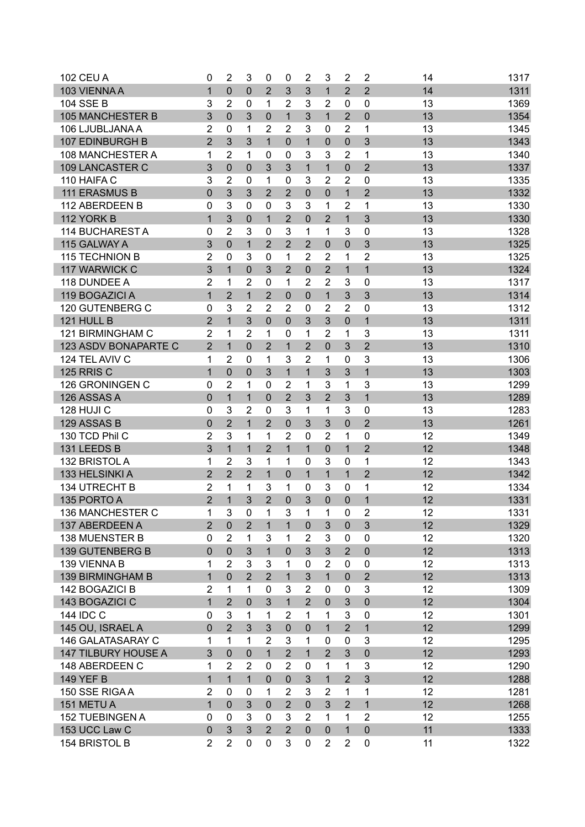| <b>102 CEU A</b>           | $\mathbf 0$    | $\overline{2}$ | 3              | 0              | 0              | $\overline{2}$ | 3              | $\overline{2}$ | $\overline{2}$ | 14 | 1317 |
|----------------------------|----------------|----------------|----------------|----------------|----------------|----------------|----------------|----------------|----------------|----|------|
| 103 VIENNA A               | $\mathbf{1}$   | $\overline{0}$ | $\mathbf 0$    | $\overline{2}$ | 3              | 3              | $\mathbf{1}$   | $\overline{2}$ | $\overline{2}$ | 14 | 1311 |
| <b>104 SSE B</b>           | 3              | 2              | 0              | 1              | $\overline{2}$ | 3              | $\overline{2}$ | $\mathbf{0}$   | 0              | 13 | 1369 |
| <b>105 MANCHESTER B</b>    | 3              | 0              | 3              | $\mathbf 0$    | $\mathbf{1}$   | 3              | $\mathbf{1}$   | $\overline{2}$ | 0              | 13 | 1354 |
| 106 LJUBLJANA A            | $\overline{2}$ | 0              | 1              | $\overline{2}$ | $\overline{2}$ | 3              | 0              | 2              | 1              | 13 | 1345 |
| 107 EDINBURGH B            | $\overline{2}$ | 3              | 3              | 1              | $\mathbf 0$    | 1              | $\Omega$       | $\mathbf 0$    | 3              | 13 | 1343 |
| 108 MANCHESTER A           | 1              | $\overline{2}$ | 1              | 0              | 0              | 3              | 3              | $\overline{2}$ | 1              | 13 | 1340 |
| 109 LANCASTER C            | 3              | $\overline{0}$ | $\mathbf 0$    | 3              | 3              | $\mathbf{1}$   | $\mathbf{1}$   | 0              | $\overline{2}$ | 13 | 1337 |
| 110 HAIFA C                | 3              | $\overline{2}$ | 0              | 1              | 0              | 3              | 2              | $\overline{2}$ | 0              | 13 | 1335 |
| <b>111 ERASMUS B</b>       | $\mathbf 0$    | 3              | 3              | $\overline{2}$ | $\overline{2}$ | $\overline{0}$ | $\mathbf 0$    | 1              | $\overline{2}$ | 13 | 1332 |
| 112 ABERDEEN B             | 0              | 3              | $\overline{0}$ | 0              | 3              | 3              | 1              | $\overline{2}$ | 1              | 13 | 1330 |
| 112 YORK B                 | $\mathbf{1}$   | 3              | $\mathbf 0$    | $\mathbf{1}$   | $\overline{2}$ | $\overline{0}$ | $\overline{2}$ | 1              | 3              | 13 | 1330 |
| 114 BUCHAREST A            |                | $\overline{2}$ | 3              |                | 3              |                | 1              | 3              | 0              | 13 |      |
|                            | 0              |                |                | 0              | $\overline{2}$ | 1              |                |                |                |    | 1328 |
| 115 GALWAY A               | 3              | $\mathbf{0}$   | $\mathbf{1}$   | $\overline{2}$ |                | $\overline{2}$ | $\mathbf{0}$   | $\overline{0}$ | 3              | 13 | 1325 |
| <b>115 TECHNION B</b>      | $\overline{2}$ | $\mathbf{0}$   | 3              | 0              | 1              | $\overline{2}$ | 2              | 1              | 2              | 13 | 1325 |
| 117 WARWICK C              | 3              | $\overline{1}$ | 0              | 3              | $\overline{2}$ | $\mathbf 0$    | $\overline{2}$ | $\mathbf{1}$   | $\overline{1}$ | 13 | 1324 |
| 118 DUNDEE A               | $\overline{2}$ | 1              | $\overline{2}$ | 0              | 1              | $\overline{2}$ | 2              | 3              | 0              | 13 | 1317 |
| 119 BOGAZICI A             | $\mathbf{1}$   | $\overline{2}$ | $\mathbf{1}$   | $\overline{2}$ | $\mathbf 0$    | $\mathbf 0$    | $\mathbf{1}$   | 3              | 3              | 13 | 1314 |
| <b>120 GUTENBERG C</b>     | 0              | 3              | $\overline{2}$ | $\overline{2}$ | $\overline{2}$ | $\mathbf 0$    | $\overline{2}$ | $\overline{2}$ | 0              | 13 | 1312 |
| 121 HULL B                 | $\overline{2}$ | $\overline{1}$ | 3              | $\mathbf{0}$   | $\mathbf 0$    | 3              | 3              | $\mathbf 0$    | 1              | 13 | 1311 |
| 121 BIRMINGHAM C           | $\overline{2}$ | 1              | $\overline{2}$ | 1              | 0              | 1              | 2              | 1              | 3              | 13 | 1311 |
| 123 ASDV BONAPARTE C       | $\overline{2}$ | $\overline{1}$ | $\overline{0}$ | $\overline{2}$ | $\mathbf{1}$   | $\overline{2}$ | 0              | 3              | $\overline{2}$ | 13 | 1310 |
| 124 TEL AVIV C             | 1              | $\overline{2}$ | $\mathbf 0$    | 1              | 3              | $\overline{2}$ | 1              | $\mathbf 0$    | 3              | 13 | 1306 |
| <b>125 RRIS C</b>          | $\mathbf{1}$   | 0              | 0              | 3              | $\mathbf{1}$   | $\mathbf{1}$   | 3              | 3              | $\overline{1}$ | 13 | 1303 |
| 126 GRONINGEN C            | 0              | $\overline{2}$ | 1              | 0              | $\overline{2}$ | 1              | 3              | 1              | 3              | 13 | 1299 |
| 126 ASSAS A                | $\overline{0}$ | $\mathbf 1$    | $\mathbf{1}$   | $\mathbf 0$    | $\overline{2}$ | 3              | $\overline{2}$ | 3              | $\overline{1}$ | 13 | 1289 |
| 128 HUJI C                 | 0              | 3              | $\overline{2}$ | $\mathbf 0$    | 3              | 1              | 1              | 3              | $\mathbf 0$    | 13 | 1283 |
| 129 ASSAS B                | $\overline{0}$ | $\overline{2}$ | $\mathbf{1}$   | $\overline{2}$ | $\overline{0}$ | 3              | 3              | 0              | $\overline{2}$ | 13 | 1261 |
| 130 TCD Phil C             | 2              | 3              | 1              | 1              | 2              | $\mathbf{0}$   | 2              | 1              | 0              | 12 | 1349 |
| 131 LEEDS B                | 3              | $\mathbf{1}$   | 1              | $\overline{2}$ | $\mathbf{1}$   | $\mathbf{1}$   | $\mathbf 0$    | $\overline{1}$ | $\overline{2}$ | 12 | 1348 |
| 132 BRISTOL A              | 1              | $\overline{2}$ | 3              | 1              | 1              | $\mathbf{0}$   | 3              | $\mathbf 0$    | 1              | 12 | 1343 |
| 133 HELSINKI A             | $\overline{2}$ | $\overline{2}$ | $\overline{2}$ | $\mathbf{1}$   | $\mathbf 0$    | 1              | $\mathbf 1$    | $\mathbf{1}$   | $\overline{2}$ | 12 | 1342 |
| 134 UTRECHT B              | $\overline{2}$ | 1              | 1              | 3              | 1              | $\mathbf 0$    | 3              | 0              | 1              | 12 | 1334 |
| 135 PORTO A                | $\overline{2}$ | $\overline{1}$ | 3              | $\overline{2}$ | $\overline{0}$ | 3              | $\overline{0}$ | 0              | $\overline{1}$ | 12 | 1331 |
| 136 MANCHESTER C           | 1              | 3              | $\mathbf 0$    | 1              | 3              | 1              | 1              | $\mathbf 0$    | $\overline{c}$ | 12 | 1331 |
| 137 ABERDEEN A             | $\overline{2}$ | $\mathbf 0$    | $\overline{2}$ | $\mathbf{1}$   | $\mathbf{1}$   | $\pmb{0}$      | 3              | $\mathbf 0$    | 3              | 12 | 1329 |
| <b>138 MUENSTER B</b>      | 0              | $\overline{2}$ | 1              | 3              | 1              | $\overline{2}$ | 3              | $\mathbf 0$    | $\mathbf 0$    | 12 | 1320 |
| 139 GUTENBERG B            | $\mathbf 0$    | $\mathbf 0$    | 3              | $\mathbf{1}$   | $\overline{0}$ | 3              | 3              | $\overline{2}$ | $\mathbf 0$    | 12 | 1313 |
| 139 VIENNA B               | 1              | $\overline{2}$ | 3              | 3              | 1              | 0              | $\overline{2}$ | $\mathbf 0$    | $\mathbf 0$    | 12 | 1313 |
| <b>139 BIRMINGHAM B</b>    | $\mathbf{1}$   | $\overline{0}$ | $\overline{2}$ | $\overline{2}$ | $\mathbf{1}$   | 3              | $\mathbf{1}$   | $\mathbf 0$    | $\overline{2}$ | 12 | 1313 |
| 142 BOGAZICI B             | $\overline{2}$ | 1              | 1              | 0              | 3              | $\overline{2}$ | $\mathbf 0$    | $\mathbf 0$    | 3              | 12 | 1309 |
| 143 BOGAZICI C             | $\mathbf{1}$   | $\overline{2}$ | $\mathbf 0$    | 3              | $\mathbf{1}$   | $\overline{2}$ | $\mathbf{0}$   | $\mathfrak{S}$ | $\overline{0}$ | 12 | 1304 |
| 144 IDC C                  | 0              | 3              |                |                | $\overline{2}$ |                |                | 3              | $\mathbf 0$    | 12 |      |
|                            |                |                | 1              | 1              |                | 1              | 1              |                |                |    | 1301 |
| 145 OU, ISRAEL A           | 0              | $\overline{2}$ | 3              | 3              | $\Omega$       | $\mathbf{0}$   | $\mathbf{1}$   | $\overline{2}$ | $\mathbf{1}$   | 12 | 1299 |
| 146 GALATASARAY C          | 1              | 1              | 1              | $\overline{2}$ | 3              | 1              | 0              | $\mathbf 0$    | 3              | 12 | 1295 |
| <b>147 TILBURY HOUSE A</b> | 3              | $\overline{0}$ | $\mathbf 0$    | $\overline{1}$ | $\overline{2}$ | $\mathbf{1}$   | $\overline{2}$ | 3              | $\mathbf 0$    | 12 | 1293 |
| 148 ABERDEEN C             | 1              | $\overline{2}$ | 2              | $\mathbf{0}$   | $\overline{2}$ | 0              | 1              | 1              | 3              | 12 | 1290 |
| 149 YEF B                  | $\mathbf{1}$   | $\mathbf{1}$   | $\mathbf{1}$   | $\mathbf 0$    | $\mathbf 0$    | 3              | $\mathbf{1}$   | $\overline{2}$ | 3              | 12 | 1288 |
| 150 SSE RIGAA              | $\overline{2}$ | 0              | $\mathbf{0}$   | 1              | $\overline{2}$ | 3              | $\overline{2}$ | 1              | 1              | 12 | 1281 |
| 151 METU A                 | $\mathbf{1}$   | $\mathbf 0$    | 3              | $\mathbf{0}$   | $\overline{2}$ | $\mathbf 0$    | 3              | $\overline{2}$ | $\mathbf{1}$   | 12 | 1268 |
| <b>152 TUEBINGEN A</b>     | 0              | $\mathbf{0}$   | 3              | $\mathbf 0$    | 3              | $\overline{2}$ | 1              | 1              | $\overline{2}$ | 12 | 1255 |
| 153 UCC Law C              | $\mathbf 0$    | 3              | $\overline{3}$ | $\overline{2}$ | $\overline{2}$ | $\overline{0}$ | $\overline{0}$ | $\mathbf{1}$   | $\overline{0}$ | 11 | 1333 |
| 154 BRISTOL B              | $\overline{2}$ | $\overline{2}$ | 0              | 0              | 3              | $\mathbf 0$    | $\overline{2}$ | $\overline{2}$ | $\pmb{0}$      | 11 | 1322 |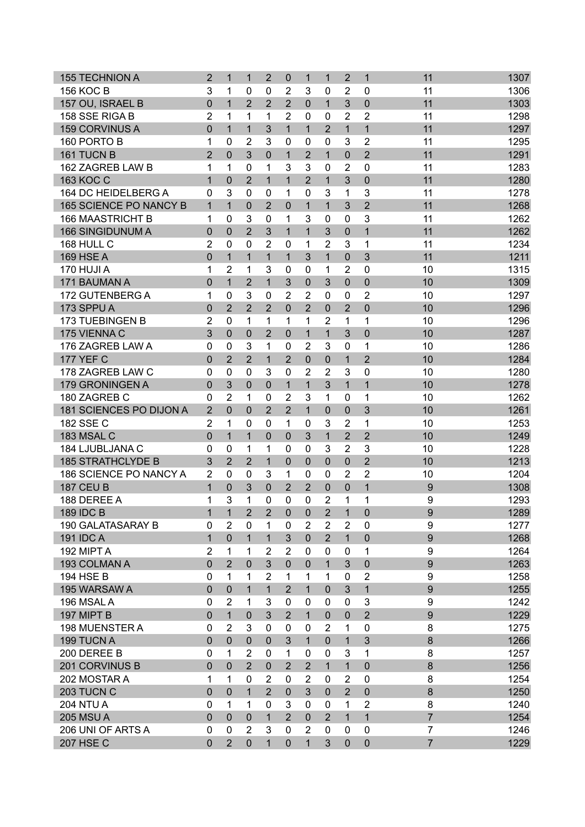| <b>155 TECHNION A</b>         | $\overline{2}$ | $\mathbf 1$    | $\mathbf 1$    | $\overline{2}$ | $\mathbf 0$    | 1              | $\mathbf{1}$   | $\overline{2}$ | $\mathbf{1}$   | 11               | 1307 |
|-------------------------------|----------------|----------------|----------------|----------------|----------------|----------------|----------------|----------------|----------------|------------------|------|
| <b>156 KOC B</b>              | 3              | 1              | $\mathbf{0}$   | 0              | 2              | 3              | 0              | $\overline{2}$ | 0              | 11               | 1306 |
| 157 OU, ISRAEL B              | $\overline{0}$ | $\mathbf{1}$   | $\overline{2}$ | $\overline{2}$ | $\overline{2}$ | $\mathbf 0$    | $\mathbf{1}$   | 3              | $\overline{0}$ | 11               | 1303 |
| 158 SSE RIGA B                | $\overline{2}$ | 1              | 1              | 1              | $\overline{2}$ | $\mathbf 0$    | 0              | $\overline{2}$ | 2              | 11               | 1298 |
| 159 CORVINUS A                | $\mathbf 0$    | $\overline{1}$ | $\mathbf{1}$   | 3              | $\mathbf{1}$   | $\overline{1}$ | $\overline{2}$ | $\overline{1}$ | $\overline{1}$ | 11               | 1297 |
| 160 PORTO B                   | 1              | 0              | $\overline{2}$ | 3              | 0              | 0              | $\mathbf 0$    | 3              | 2              | 11               | 1295 |
| 161 TUCN B                    | $\overline{2}$ | 0              | 3              | $\mathbf 0$    | $\mathbf{1}$   | $\overline{2}$ | $\mathbf{1}$   | $\mathbf 0$    | $\overline{2}$ | 11               | 1291 |
| 162 ZAGREB LAW B              | 1              | 1              | $\mathbf 0$    | 1              | 3              | 3              | 0              | $\overline{2}$ | 0              | 11               | 1283 |
| 163 KOC C                     | $\overline{1}$ | $\overline{0}$ | $\overline{2}$ | $\mathbf{1}$   | $\mathbf{1}$   | $\overline{2}$ | $\mathbf{1}$   | 3              | $\overline{0}$ | 11               | 1280 |
| 164 DC HEIDELBERG A           | 0              | 3              | $\mathbf 0$    | 0              | 1              | $\mathbf 0$    | 3              | 1              | 3              | 11               | 1278 |
| <b>165 SCIENCE PO NANCY B</b> | $\mathbf{1}$   | $\mathbf{1}$   | $\mathbf 0$    | $\overline{2}$ | $\overline{0}$ | $\mathbf{1}$   | $\mathbf{1}$   | 3              | $\overline{2}$ | 11               | 1268 |
| <b>166 MAASTRICHT B</b>       | 1              | 0              | 3              | $\mathbf 0$    | 1              | 3              | $\mathbf 0$    | $\mathbf 0$    | 3              | 11               | 1262 |
| <b>166 SINGIDUNUM A</b>       | 0              | $\overline{0}$ | $\overline{2}$ | 3              | $\mathbf{1}$   | $\mathbf{1}$   | 3              | $\mathbf 0$    | $\overline{1}$ | 11               | 1262 |
| 168 HULL C                    | $\overline{2}$ | 0              | $\mathbf 0$    | $\overline{2}$ | 0              | 1              | $\overline{2}$ | 3              | 1              | 11               | 1234 |
| <b>169 HSE A</b>              | $\mathbf 0$    | $\mathbf{1}$   | 1              | 1              | $\mathbf{1}$   | 3              | $\mathbf{1}$   | $\mathbf 0$    | 3              | 11               | 1211 |
| 170 HUJI A                    | 1              | $\overline{2}$ | 1              | 3              | $\mathbf 0$    | $\mathbf{0}$   | 1              | $\overline{2}$ | 0              | 10               | 1315 |
| 171 BAUMAN A                  | $\mathbf 0$    | $\overline{1}$ | $\overline{2}$ | 1              | 3              | $\mathbf 0$    | 3              | $\mathbf 0$    | 0              | 10               | 1309 |
| 172 GUTENBERG A               | 1              | 0              | 3              | $\mathbf 0$    | $\overline{2}$ | $\overline{2}$ | $\mathbf{0}$   | 0              | 2              | 10               | 1297 |
| 173 SPPU A                    | 0              | $\overline{2}$ | $\overline{2}$ | $\overline{2}$ | $\mathbf 0$    | $\overline{2}$ | $\overline{0}$ | $\overline{2}$ | $\overline{0}$ | 10               | 1296 |
| <b>173 TUEBINGEN B</b>        | $\overline{2}$ | $\mathbf{0}$   | 1              | 1              | 1              | 1              | $\overline{2}$ | 1              | 1              | 10               | 1296 |
| 175 VIENNA C                  | 3              | $\overline{0}$ | $\mathbf 0$    | $\overline{2}$ | $\mathbf 0$    | $\mathbf{1}$   | $\mathbf{1}$   | 3              | 0              | 10               | 1287 |
| 176 ZAGREB LAW A              | 0              | $\mathbf 0$    | 3              | 1              | $\mathbf 0$    | $\overline{2}$ | 3              | $\mathbf 0$    | 1              | 10               | 1286 |
| <b>177 YEF C</b>              | $\mathbf 0$    | $\overline{2}$ | $\overline{2}$ | $\mathbf{1}$   | $\overline{2}$ | $\mathbf 0$    | $\overline{0}$ | $\overline{1}$ | $\overline{2}$ | 10               | 1284 |
| 178 ZAGREB LAW C              | 0              | 0              | 0              | 3              | 0              | $\overline{2}$ | $\overline{2}$ | 3              | $\overline{0}$ | 10               | 1280 |
| 179 GRONINGEN A               | $\overline{0}$ | 3              | $\overline{0}$ |                |                | $\mathbf{1}$   | $\overline{3}$ | $\overline{1}$ | $\overline{1}$ | 10               | 1278 |
|                               |                |                |                | $\mathbf{0}$   | $\mathbf{1}$   |                |                |                |                |                  |      |
| 180 ZAGREB C                  | 0              | $\overline{2}$ | 1              | 0              | $\overline{2}$ | 3              | 1              | $\mathbf 0$    | 1              | 10               | 1262 |
| 181 SCIENCES PO DIJON A       | $\overline{2}$ | $\overline{0}$ | $\mathbf 0$    | $\overline{2}$ | $\overline{2}$ | $\mathbf{1}$   | $\Omega$       | $\mathbf 0$    | 3              | 10               | 1261 |
| 182 SSE C                     | $\overline{2}$ | 1              | $\mathbf 0$    | 0              | 1              | 0              | 3              | 2              | 1              | 10               | 1253 |
| 183 MSAL C                    | $\mathbf 0$    | $\mathbf{1}$   | $\mathbf{1}$   | $\mathbf 0$    | $\mathbf 0$    | 3              | $\mathbf{1}$   | $\overline{2}$ | $\overline{2}$ | 10               | 1249 |
| 184 LJUBLJANA C               | 0              | 0              | 1              | 1              | 0              | 0              | 3              | $\overline{2}$ | 3              | 10               | 1228 |
| <b>185 STRATHCLYDE B</b>      | 3              | $\overline{2}$ | $\overline{2}$ | $\mathbf{1}$   | $\mathbf 0$    | $\mathbf 0$    | $\overline{0}$ | $\mathbf 0$    | $\overline{2}$ | 10               | 1213 |
| 186 SCIENCE PO NANCY A        | $\overline{2}$ | $\mathbf{0}$   | 0              | 3              | 1              | 0              | 0              | $\overline{2}$ | $\overline{2}$ | 10               | 1204 |
| <b>187 CEU B</b>              | $\mathbf{1}$   | 0              | 3              | $\mathbf 0$    | $\overline{2}$ | $\overline{2}$ | $\mathbf 0$    | 0              | 1              | $\boldsymbol{9}$ | 1308 |
| 188 DEREE A                   | 1              | 3              | 1              | 0              | $\mathbf 0$    | $\mathbf 0$    | 2              | 1              | 1              | 9                | 1293 |
| <b>189 IDC B</b>              | $\mathbf{1}$   | $\mathbf{1}$   | $\overline{2}$ | $\overline{2}$ | $\mathbf 0$    | $\pmb{0}$      | $\overline{2}$ | $\mathbf{1}$   | $\overline{0}$ | 9                | 1289 |
| 190 GALATASARAY B             | 0              | $\overline{2}$ | 0              | 1              | 0              | $\overline{2}$ | $\overline{2}$ | $\overline{2}$ | $\Omega$       | 9                | 1277 |
| 191 IDC A                     | $\mathbf{1}$   | $\mathbf 0$    | 1              | $\mathbf{1}$   | 3              | $\mathbf 0$    | $\overline{2}$ | $\mathbf{1}$   | $\mathbf 0$    | 9                | 1268 |
| 192 MIPT A                    | $\overline{2}$ | 1              | 1              | $\overline{2}$ | 2              | 0              | 0              | 0              | 1              | 9                | 1264 |
| 193 COLMAN A                  | $\pmb{0}$      | $\overline{2}$ | $\mathbf 0$    | 3              | $\mathbf 0$    | $\mathbf 0$    | $\mathbf{1}$   | 3              | $\overline{0}$ | 9                | 1263 |
| 194 HSE B                     | $\mathsf 0$    | 1              | 1              | $\overline{2}$ | 1              | 1              | 1              | $\mathbf 0$    | $\overline{2}$ | 9                | 1258 |
| 195 WARSAW A                  | $\mathbf 0$    | $\mathbf 0$    | $\mathbf{1}$   | $\mathbf{1}$   | $\overline{2}$ | $\mathbf{1}$   | $\mathbf{0}$   | $\mathfrak{S}$ | $\mathbf{1}$   | 9                | 1255 |
| 196 MSALA                     | 0              | $\overline{2}$ | 1              | 3              | 0              | 0              | $\mathbf{0}$   | $\mathbf 0$    | 3              | 9                | 1242 |
| 197 MIPT B                    | $\mathbf 0$    | $\mathbf{1}$   | $\mathbf 0$    | 3              | $\overline{2}$ | $\mathbf{1}$   | $\mathbf{0}$   | $\mathbf 0$    | $\overline{2}$ | 9                | 1229 |
| 198 MUENSTER A                | 0              | $\overline{2}$ | 3              | 0              | 0              | $\mathbf{0}$   | 2              | 1              | $\mathbf 0$    | 8                | 1275 |
| 199 TUCN A                    | $\mathbf 0$    | 0              | $\mathbf 0$    | $\mathbf 0$    | 3              | $\mathbf{1}$   | $\mathbf 0$    | 1              | 3              | 8                | 1266 |
| 200 DEREE B                   | 0              | 1              | $\overline{2}$ | $\mathbf 0$    | 1              | $\mathbf 0$    | 0              | 3              | 1              | 8                | 1257 |
| 201 CORVINUS B                | $\pmb{0}$      | $\Omega$       | $\overline{2}$ | $\mathbf 0$    | $\overline{2}$ | $\overline{2}$ | $\mathbf{1}$   | $\mathbf{1}$   | $\mathbf 0$    | 8                | 1256 |
| 202 MOSTAR A                  | 1              | 1              | 0              | $\overline{2}$ | 0              | $\overline{2}$ | 0              | $\overline{2}$ | $\mathbf 0$    | 8                | 1254 |
| 203 TUCN C                    | $\mathbf 0$    | $\mathbf 0$    | $\mathbf{1}$   | $\overline{2}$ | $\mathbf 0$    | 3              | $\mathbf{0}$   | $\overline{2}$ | $\mathbf 0$    | 8                | 1250 |
| <b>204 NTU A</b>              | 0              | 1              | 1              | 0              | 3              | 0              | 0              | 1              | $\overline{2}$ | 8                | 1240 |
| <b>205 MSUA</b>               | $\mathbf 0$    | $\mathbf 0$    | $\mathbf 0$    | $\mathbf{1}$   | $\overline{2}$ | $\overline{0}$ | $\overline{2}$ | $\mathbf{1}$   | $\overline{1}$ | $\overline{7}$   | 1254 |
| 206 UNI OF ARTS A             | 0              | 0              | $\overline{2}$ | 3              | 0              | $\overline{2}$ | 0              | 0              | $\mathbf 0$    | $\overline{7}$   | 1246 |
| <b>207 HSE C</b>              | $\mathbf 0$    | $\overline{2}$ | $\mathbf 0$    | 1              | $\mathbf 0$    | $\mathbf{1}$   | 3              | $\pmb{0}$      | $\mathbf 0$    | $\overline{7}$   | 1229 |
|                               |                |                |                |                |                |                |                |                |                |                  |      |